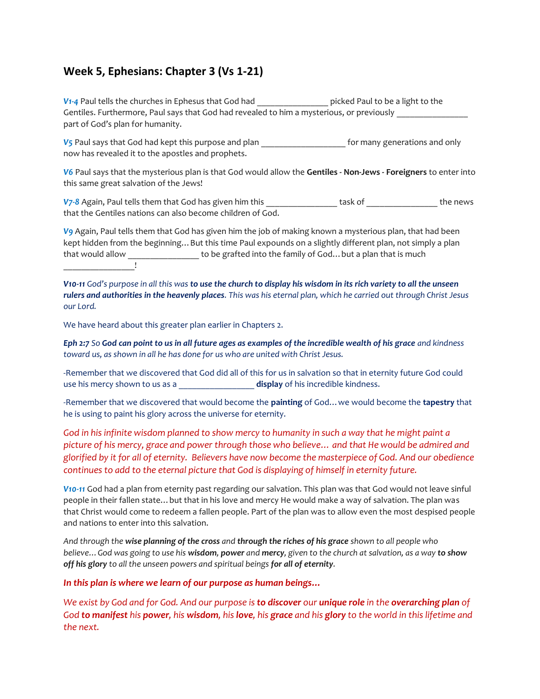# **Week 5, Ephesians: Chapter 3 (Vs 1-21)**

*V1-4* Paul tells the churches in Ephesus that God had \_\_\_\_\_\_\_\_\_\_\_\_\_\_\_\_ picked Paul to be a light to the Gentiles. Furthermore, Paul says that God had revealed to him a mysterious, or previously part of God's plan for humanity.

V<sub>5</sub> Paul says that God had kept this purpose and plan **the set of the set of many generations and only** now has revealed it to the apostles and prophets.

*V6* Paul says that the mysterious plan is that God would allow the **Gentiles - Non-Jews - Foreigners** to enter into this same great salvation of the Jews!

*V7-8 Again, Paul tells them that God has given him this* **the news** task of the news that the Gentiles nations can also become children of God.

*V9* Again, Paul tells them that God has given him the job of making known a mysterious plan, that had been kept hidden from the beginning... But this time Paul expounds on a slightly different plan, not simply a plan that would allow \_\_\_\_\_\_\_\_\_\_\_\_\_\_\_\_ to be grafted into the family of God…but a plan that is much \_\_\_\_\_\_\_\_\_\_\_\_\_\_\_\_!

*V10-11 God's purpose in all this was to use the church to display his wisdom in its rich variety to all the unseen rulers and authorities in the heavenly places. This was his eternal plan, which he carried out through Christ Jesus our Lord.* 

We have heard about this greater plan earlier in Chapters 2.

*Eph 2:7 So God can point to us in all future ages as examples of the incredible wealth of his grace and kindness toward us, as shown in all he has done for us who are united with Christ Jesus.*

-Remember that we discovered that God did all of this for us in salvation so that in eternity future God could use his mercy shown to us as a \_\_\_\_\_\_\_\_\_\_\_\_\_\_\_\_\_ **display** of his incredible kindness.

-Remember that we discovered that would become the **painting** of God…we would become the **tapestry** that he is using to paint his glory across the universe for eternity.

*God in his infinite wisdom planned to show mercy to humanity in such a way that he might paint a picture of his mercy, grace and power through those who believe… and that He would be admired and glorified by it for all of eternity. Believers have now become the masterpiece of God. And our obedience continues to add to the eternal picture that God is displaying of himself in eternity future.* 

*V10-11* God had a plan from eternity past regarding our salvation. This plan was that God would not leave sinful people in their fallen state…but that in his love and mercy He would make a way of salvation. The plan was that Christ would come to redeem a fallen people. Part of the plan was to allow even the most despised people and nations to enter into this salvation.

*And through the wise planning of the cross and through the riches of his grace shown to all people who believe…God was going to use his wisdom, power and mercy, given to the church at salvation, as a way to show off his glory to all the unseen powers and spiritual beings for all of eternity.* 

*In this plan is where we learn of our purpose as human beings…*

*We exist by God and for God. And our purpose is to discover our unique role in the overarching plan of God to manifest his power, his wisdom, his love, his grace and his glory to the world in this lifetime and the next.*